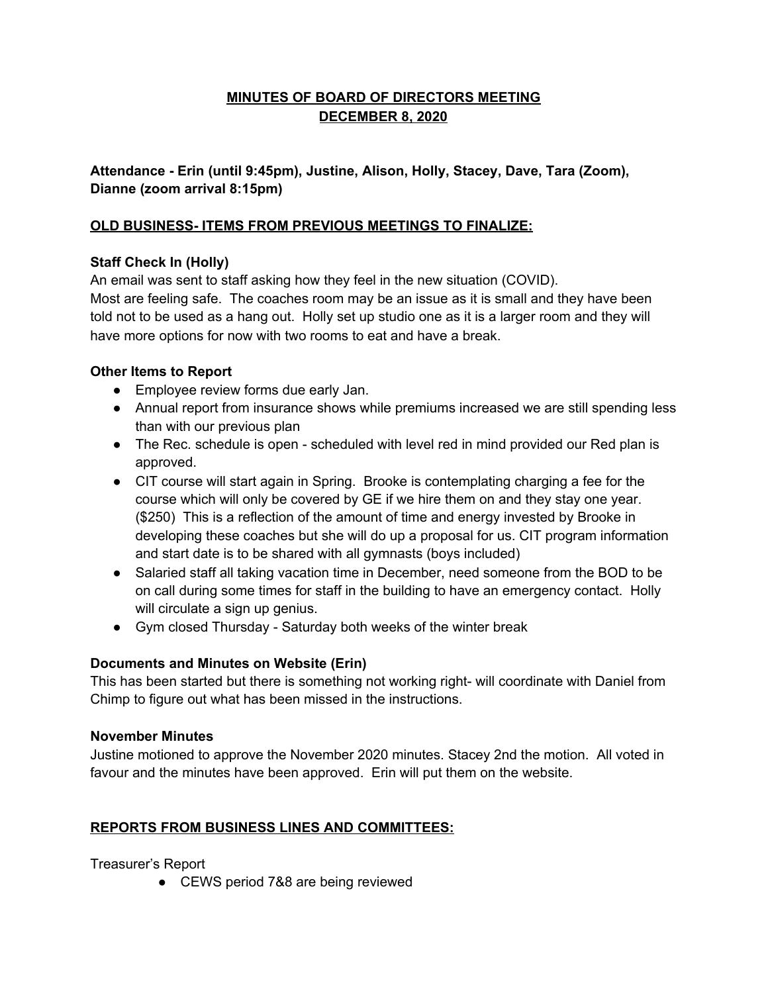# **MINUTES OF BOARD OF DIRECTORS MEETING DECEMBER 8, 2020**

**Attendance - Erin (until 9:45pm), Justine, Alison, Holly, Stacey, Dave, Tara (Zoom), Dianne (zoom arrival 8:15pm)**

### **OLD BUSINESS- ITEMS FROM PREVIOUS MEETINGS TO FINALIZE:**

# **Staff Check In (Holly)**

An email was sent to staff asking how they feel in the new situation (COVID).

Most are feeling safe. The coaches room may be an issue as it is small and they have been told not to be used as a hang out. Holly set up studio one as it is a larger room and they will have more options for now with two rooms to eat and have a break.

# **Other Items to Report**

- Employee review forms due early Jan.
- Annual report from insurance shows while premiums increased we are still spending less than with our previous plan
- The Rec. schedule is open scheduled with level red in mind provided our Red plan is approved.
- CIT course will start again in Spring. Brooke is contemplating charging a fee for the course which will only be covered by GE if we hire them on and they stay one year. (\$250) This is a reflection of the amount of time and energy invested by Brooke in developing these coaches but she will do up a proposal for us. CIT program information and start date is to be shared with all gymnasts (boys included)
- Salaried staff all taking vacation time in December, need someone from the BOD to be on call during some times for staff in the building to have an emergency contact. Holly will circulate a sign up genius.
- Gym closed Thursday Saturday both weeks of the winter break

### **Documents and Minutes on Website (Erin)**

This has been started but there is something not working right- will coordinate with Daniel from Chimp to figure out what has been missed in the instructions.

### **November Minutes**

Justine motioned to approve the November 2020 minutes. Stacey 2nd the motion. All voted in favour and the minutes have been approved. Erin will put them on the website.

### **REPORTS FROM BUSINESS LINES AND COMMITTEES:**

Treasurer's Report

● CEWS period 7&8 are being reviewed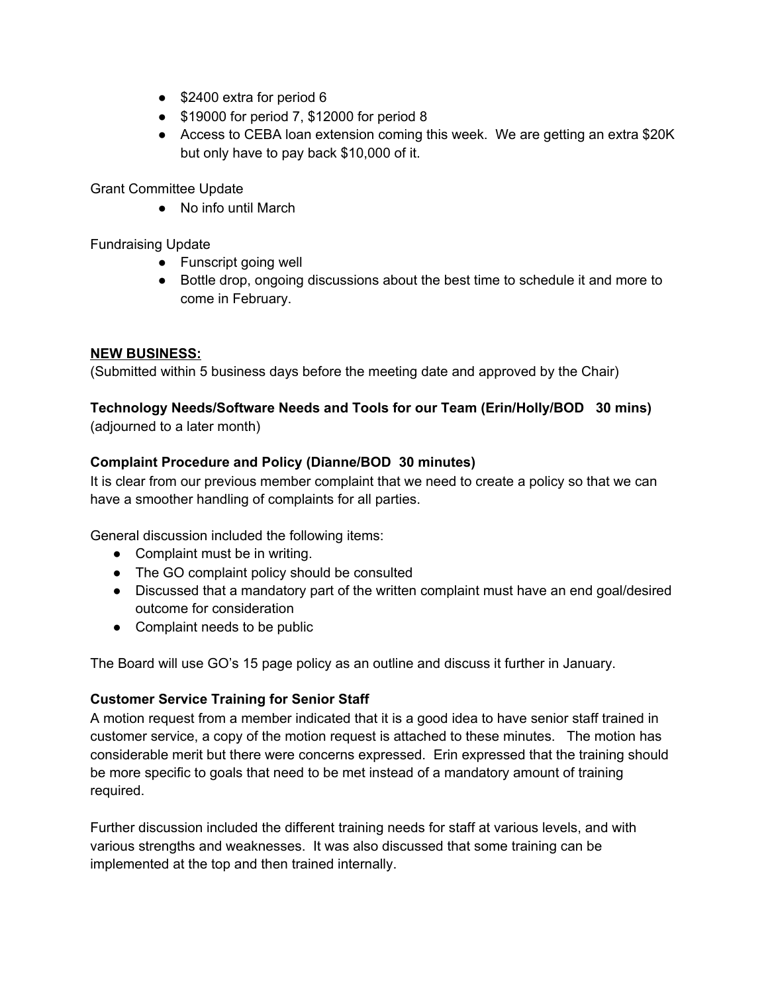- \$2400 extra for period 6
- \$19000 for period 7, \$12000 for period 8
- Access to CEBA loan extension coming this week. We are getting an extra \$20K but only have to pay back \$10,000 of it.

Grant Committee Update

● No info until March

Fundraising Update

- Funscript going well
- Bottle drop, ongoing discussions about the best time to schedule it and more to come in February.

#### **NEW BUSINESS:**

(Submitted within 5 business days before the meeting date and approved by the Chair)

# **Technology Needs/Software Needs and Tools for our Team (Erin/Holly/BOD 30 mins)**

(adjourned to a later month)

# **Complaint Procedure and Policy (Dianne/BOD 30 minutes)**

It is clear from our previous member complaint that we need to create a policy so that we can have a smoother handling of complaints for all parties.

General discussion included the following items:

- Complaint must be in writing.
- The GO complaint policy should be consulted
- Discussed that a mandatory part of the written complaint must have an end goal/desired outcome for consideration
- Complaint needs to be public

The Board will use GO's 15 page policy as an outline and discuss it further in January.

### **Customer Service Training for Senior Staff**

A motion request from a member indicated that it is a good idea to have senior staff trained in customer service, a copy of the motion request is attached to these minutes. The motion has considerable merit but there were concerns expressed. Erin expressed that the training should be more specific to goals that need to be met instead of a mandatory amount of training required.

Further discussion included the different training needs for staff at various levels, and with various strengths and weaknesses. It was also discussed that some training can be implemented at the top and then trained internally.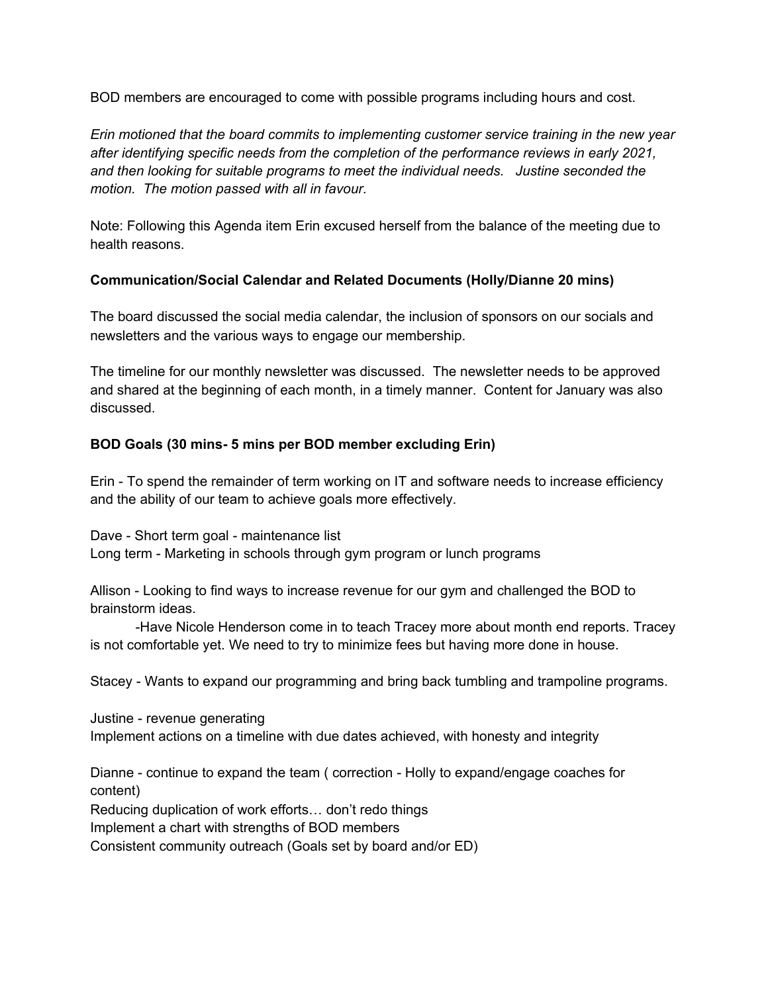BOD members are encouraged to come with possible programs including hours and cost.

*Erin motioned that the board commits to implementing customer service training in the new year after identifying specific needs from the completion of the performance reviews in early 2021, and then looking for suitable programs to meet the individual needs. Justine seconded the motion. The motion passed with all in favour.*

Note: Following this Agenda item Erin excused herself from the balance of the meeting due to health reasons.

#### **Communication/Social Calendar and Related Documents (Holly/Dianne 20 mins)**

The board discussed the social media calendar, the inclusion of sponsors on our socials and newsletters and the various ways to engage our membership.

The timeline for our monthly newsletter was discussed. The newsletter needs to be approved and shared at the beginning of each month, in a timely manner. Content for January was also discussed.

### **BOD Goals (30 mins- 5 mins per BOD member excluding Erin)**

Erin - To spend the remainder of term working on IT and software needs to increase efficiency and the ability of our team to achieve goals more effectively.

Dave - Short term goal - maintenance list Long term - Marketing in schools through gym program or lunch programs

Allison - Looking to find ways to increase revenue for our gym and challenged the BOD to brainstorm ideas.

-Have Nicole Henderson come in to teach Tracey more about month end reports. Tracey is not comfortable yet. We need to try to minimize fees but having more done in house.

Stacey - Wants to expand our programming and bring back tumbling and trampoline programs.

Justine - revenue generating Implement actions on a timeline with due dates achieved, with honesty and integrity

Dianne - continue to expand the team ( correction - Holly to expand/engage coaches for content)

Reducing duplication of work efforts… don't redo things

Implement a chart with strengths of BOD members

Consistent community outreach (Goals set by board and/or ED)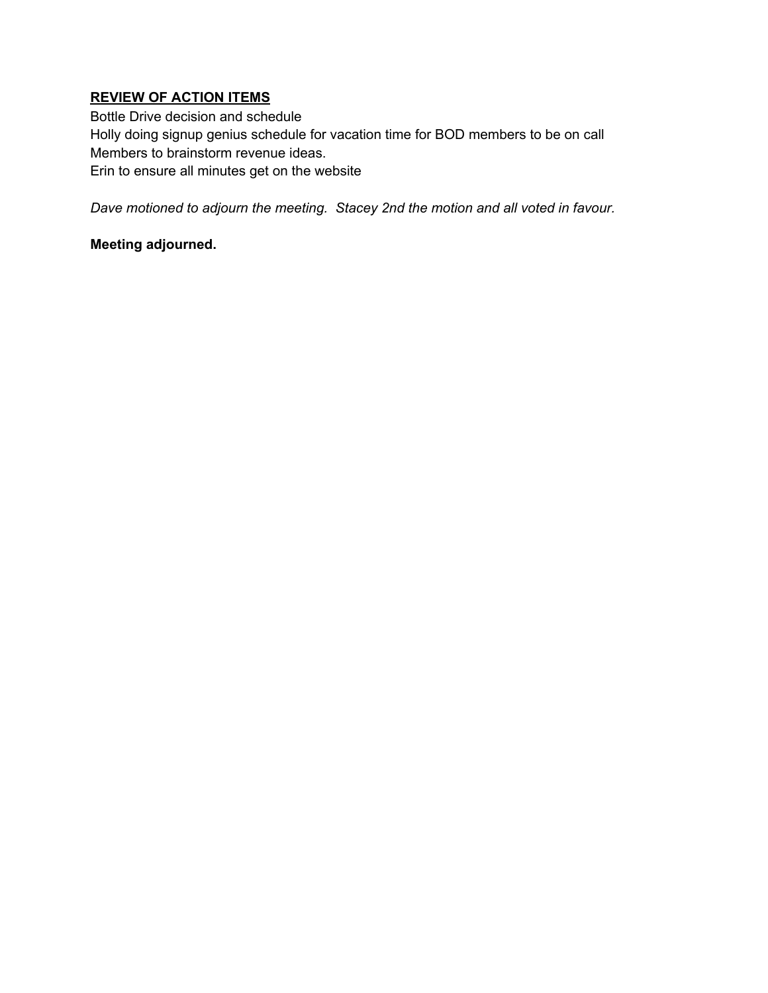### **REVIEW OF ACTION ITEMS**

Bottle Drive decision and schedule Holly doing signup genius schedule for vacation time for BOD members to be on call Members to brainstorm revenue ideas. Erin to ensure all minutes get on the website

*Dave motioned to adjourn the meeting. Stacey 2nd the motion and all voted in favour.*

# **Meeting adjourned.**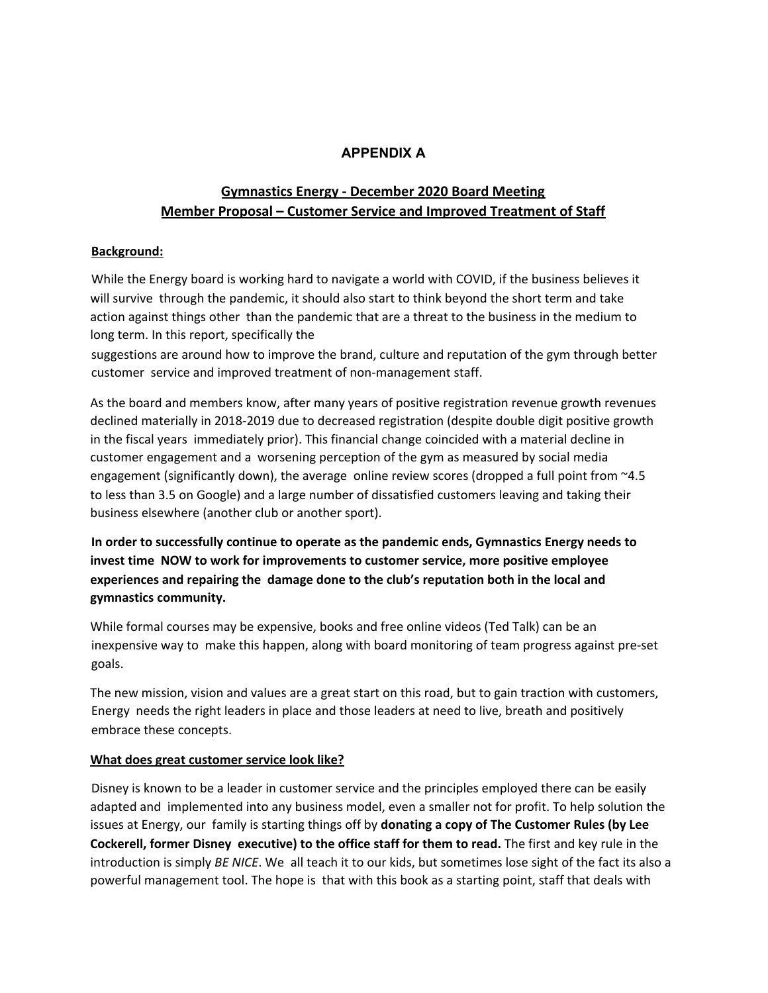#### **APPENDIX A**

### **Gymnastics Energy - December 2020 Board Meeting Member Proposal – Customer Service and Improved Treatment of Staff**

#### **Background:**

While the Energy board is working hard to navigate a world with COVID, if the business believes it will survive through the pandemic, it should also start to think beyond the short term and take action against things other than the pandemic that are a threat to the business in the medium to long term. In this report, specifically the

suggestions are around how to improve the brand, culture and reputation of the gym through better customer service and improved treatment of non-management staff.

As the board and members know, after many years of positive registration revenue growth revenues declined materially in 2018-2019 due to decreased registration (despite double digit positive growth in the fiscal years immediately prior). This financial change coincided with a material decline in customer engagement and a worsening perception of the gym as measured by social media engagement (significantly down), the average online review scores (dropped a full point from ~4.5 to less than 3.5 on Google) and a large number of dissatisfied customers leaving and taking their business elsewhere (another club or another sport).

**In order to successfully continue to operate as the pandemic ends, Gymnastics Energy needs to invest time NOW to work for improvements to customer service, more positive employee experiences and repairing the damage done to the club's reputation both in the local and gymnastics community.**

While formal courses may be expensive, books and free online videos (Ted Talk) can be an inexpensive way to make this happen, along with board monitoring of team progress against pre-set goals.

The new mission, vision and values are a great start on this road, but to gain traction with customers, Energy needs the right leaders in place and those leaders at need to live, breath and positively embrace these concepts.

#### **What does great customer service look like?**

Disney is known to be a leader in customer service and the principles employed there can be easily adapted and implemented into any business model, even a smaller not for profit. To help solution the issues at Energy, our family is starting things off by **donating a copy of The Customer Rules (by Lee Cockerell, former Disney executive) to the office staff for them to read.** The first and key rule in the introduction is simply *BE NICE*. We all teach it to our kids, but sometimes lose sight of the fact its also a powerful management tool. The hope is that with this book as a starting point, staff that deals with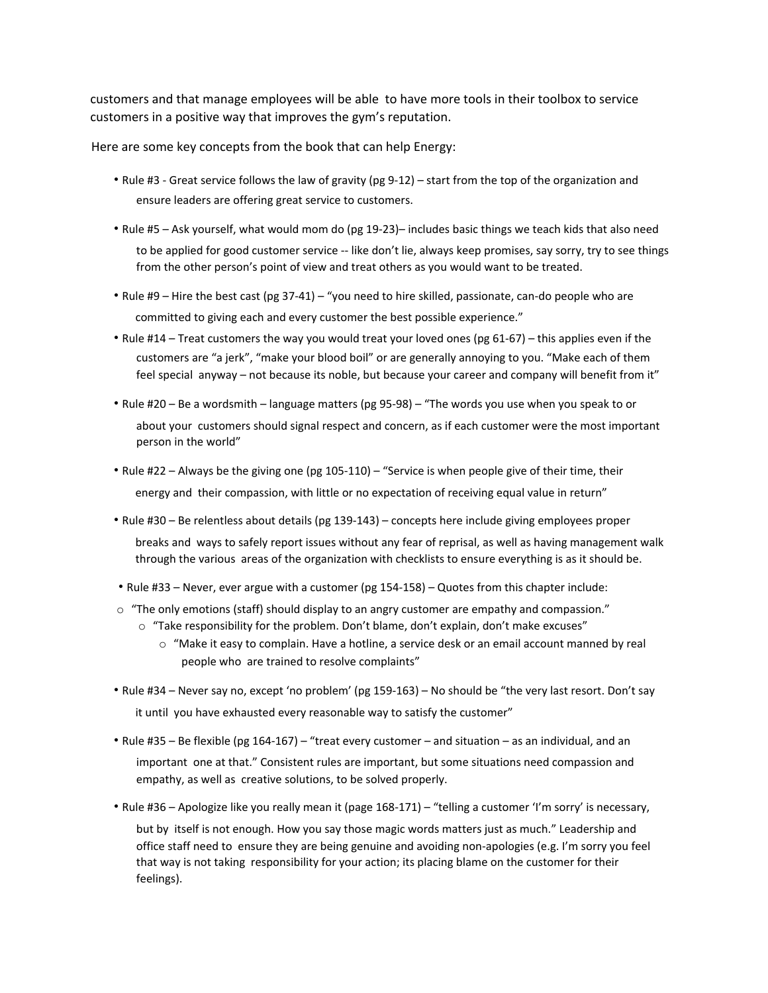customers and that manage employees will be able to have more tools in their toolbox to service customers in a positive way that improves the gym's reputation.

Here are some key concepts from the book that can help Energy:

- Rule #3 Great service follows the law of gravity (pg 9-12) start from the top of the organization and ensure leaders are offering great service to customers.
- Rule #5 Ask yourself, what would mom do (pg 19-23)– includes basic things we teach kids that also need to be applied for good customer service -- like don't lie, always keep promises, say sorry, try to see things from the other person's point of view and treat others as you would want to be treated.
- Rule #9 Hire the best cast (pg 37-41) "you need to hire skilled, passionate, can-do people who are committed to giving each and every customer the best possible experience."
- Rule #14 Treat customers the way you would treat your loved ones (pg 61-67) this applies even if the customers are "a jerk", "make your blood boil" or are generally annoying to you. "Make each of them feel special anyway – not because its noble, but because your career and company will benefit from it"
- Rule #20 Be a wordsmith language matters (pg 95-98) "The words you use when you speak to or about your customers should signal respect and concern, as if each customer were the most important person in the world"
- Rule #22 Always be the giving one (pg 105-110) "Service is when people give of their time, their energy and their compassion, with little or no expectation of receiving equal value in return"
- Rule #30 Be relentless about details (pg 139-143) concepts here include giving employees proper breaks and ways to safely report issues without any fear of reprisal, as well as having management walk through the various areas of the organization with checklists to ensure everything is as it should be.
- Rule #33 Never, ever argue with a customer (pg 154-158) Quotes from this chapter include:
- $\circ$  "The only emotions (staff) should display to an angry customer are empathy and compassion."
	- $\circ$  "Take responsibility for the problem. Don't blame, don't explain, don't make excuses"
		- $\circ$  "Make it easy to complain. Have a hotline, a service desk or an email account manned by real people who are trained to resolve complaints"
- Rule #34 Never say no, except 'no problem' (pg 159-163) No should be "the very last resort. Don't say it until you have exhausted every reasonable way to satisfy the customer"
- Rule #35 Be flexible (pg 164-167) "treat every customer and situation as an individual, and an important one at that." Consistent rules are important, but some situations need compassion and empathy, as well as creative solutions, to be solved properly.
- Rule #36 Apologize like you really mean it (page 168-171) "telling a customer 'I'm sorry' is necessary, but by itself is not enough. How you say those magic words matters just as much." Leadership and office staff need to ensure they are being genuine and avoiding non-apologies (e.g. I'm sorry you feel that way is not taking responsibility for your action; its placing blame on the customer for their feelings).